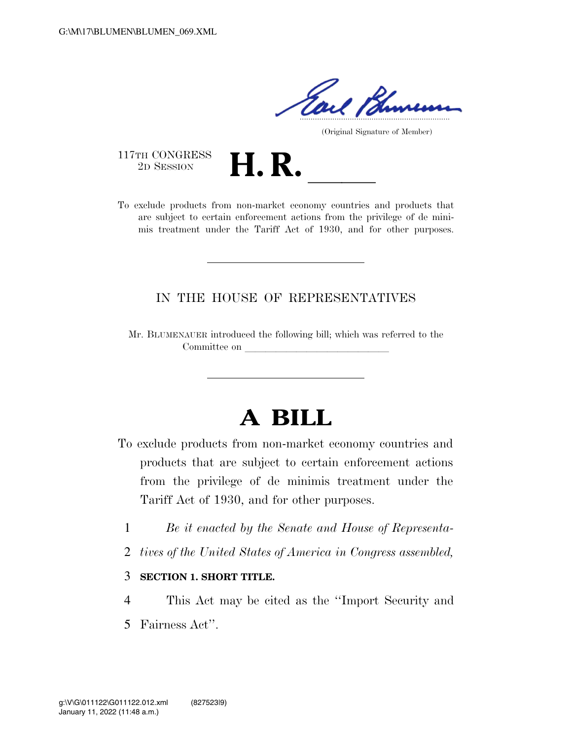Tail Blu

(Original Signature of Member)

117TH CONGRESS<br>2D SESSION

117TH CONGRESS<br>
2D SESSION<br>
To exclude products from non-market economy countries and products that are subject to certain enforcement actions from the privilege of de minimis treatment under the Tariff Act of 1930, and for other purposes.

## IN THE HOUSE OF REPRESENTATIVES

Mr. BLUMENAUER introduced the following bill; which was referred to the Committee on

# **A BILL**

- To exclude products from non-market economy countries and products that are subject to certain enforcement actions from the privilege of de minimis treatment under the Tariff Act of 1930, and for other purposes.
	- 1 *Be it enacted by the Senate and House of Representa-*
	- 2 *tives of the United States of America in Congress assembled,*

#### 3 **SECTION 1. SHORT TITLE.**

4 This Act may be cited as the ''Import Security and 5 Fairness Act''.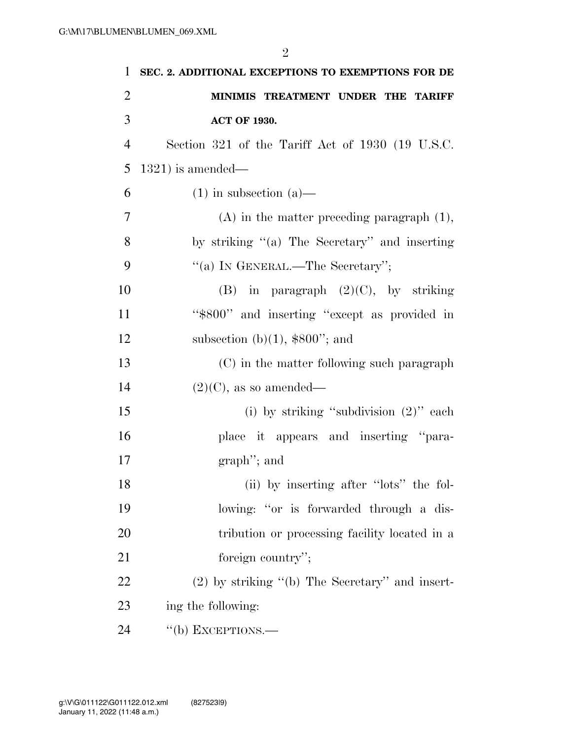| $\mathbf{1}$   | SEC. 2. ADDITIONAL EXCEPTIONS TO EXEMPTIONS FOR DE |
|----------------|----------------------------------------------------|
| $\overline{2}$ | MINIMIS TREATMENT UNDER THE TARIFF                 |
| 3              | <b>ACT OF 1930.</b>                                |
| 4              | Section 321 of the Tariff Act of 1930 (19 U.S.C.   |
| 5              | $1321$ ) is amended—                               |
| 6              | $(1)$ in subsection $(a)$ —                        |
| 7              | $(A)$ in the matter preceding paragraph $(1)$ ,    |
| 8              | by striking $(2)$ The Secretary" and inserting     |
| 9              | "(a) IN GENERAL.—The Secretary";                   |
| 10             | (B) in paragraph $(2)(C)$ , by striking            |
| 11             | "\$800" and inserting "except as provided in       |
| 12             | subsection (b) $(1)$ , \$800"; and                 |
| 13             | (C) in the matter following such paragraph         |
| 14             | $(2)(C)$ , as so amended—                          |
| 15             | (i) by striking "subdivision $(2)$ " each          |
| 16             | place it appears and inserting "para-              |
| 17             | $graph$ "; and                                     |
| 18             | (ii) by inserting after "lots" the fol-            |
| 19             | lowing: "or is forwarded through a dis-            |
| 20             | tribution or processing facility located in a      |
| 21             | foreign country";                                  |
| 22             | $(2)$ by striking "(b) The Secretary" and insert-  |
| 23             | ing the following:                                 |
| 24             | "(b) EXCEPTIONS.—                                  |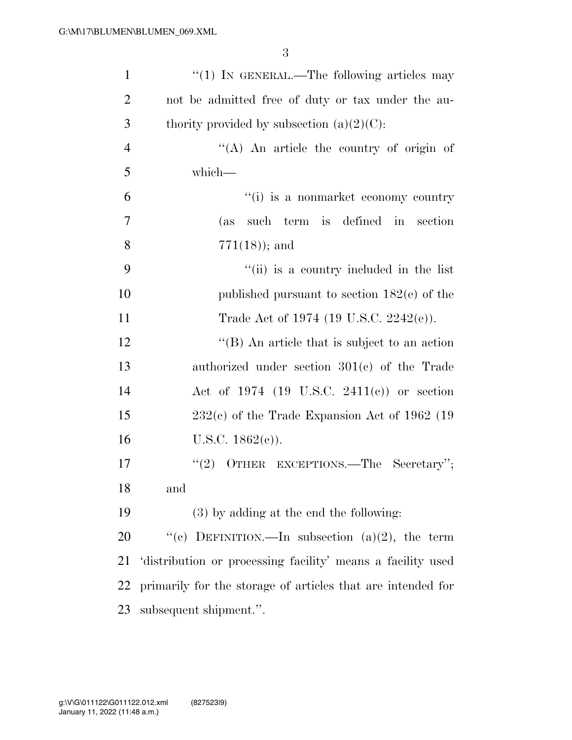| $\mathbf{1}$   | "(1) IN GENERAL.—The following articles may                 |
|----------------|-------------------------------------------------------------|
| $\overline{2}$ | not be admitted free of duty or tax under the au-           |
| 3              | thority provided by subsection $(a)(2)(C)$ :                |
| $\overline{4}$ | "(A) An article the country of origin of                    |
| 5              | which-                                                      |
| 6              | "(i) is a nonmarket economy country                         |
| 7              | such term is defined in section<br>(as)                     |
| 8              | $771(18)$ ; and                                             |
| 9              | "(ii) is a country included in the list                     |
| 10             | published pursuant to section $182(e)$ of the               |
| 11             | Trade Act of 1974 (19 U.S.C. 2242(e)).                      |
| 12             | $\lq\lq$ (B) An article that is subject to an action        |
| 13             | authorized under section $301(c)$ of the Trade              |
| 14             | Act of 1974 (19 U.S.C. 2411(c)) or section                  |
| 15             | $232(c)$ of the Trade Expansion Act of 1962 (19             |
| 16             | U.S.C. $1862(e)$ ).                                         |
| 17             | OTHER EXCEPTIONS.—The Secretary";<br>(2)                    |
| 18             | and                                                         |
| 19             | (3) by adding at the end the following:                     |
| 20             | "(c) DEFINITION.—In subsection (a)(2), the term             |
| 21             | distribution or processing facility' means a facility used  |
| 22             | primarily for the storage of articles that are intended for |
| 23             | subsequent shipment.".                                      |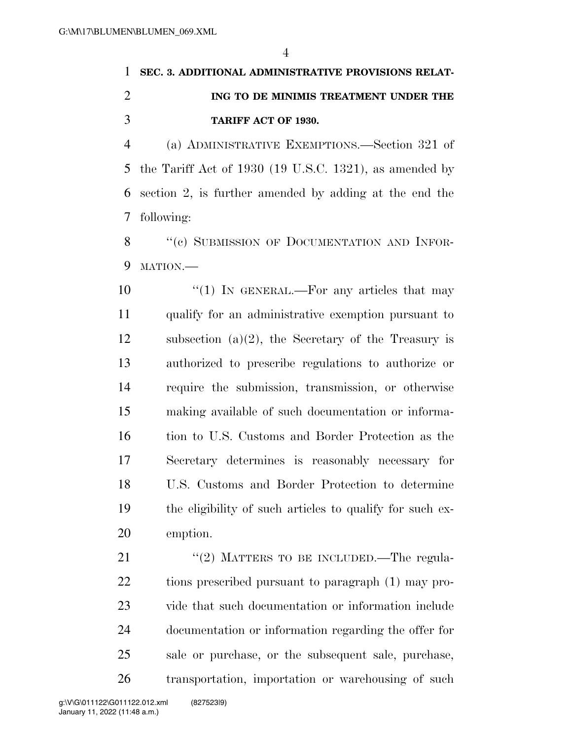# **SEC. 3. ADDITIONAL ADMINISTRATIVE PROVISIONS RELAT- ING TO DE MINIMIS TREATMENT UNDER THE TARIFF ACT OF 1930.**

 (a) ADMINISTRATIVE EXEMPTIONS.—Section 321 of the Tariff Act of 1930 (19 U.S.C. 1321), as amended by section 2, is further amended by adding at the end the following:

8 "(c) SUBMISSION OF DOCUMENTATION AND INFOR-9 MATION.

 $\frac{10}{10}$  IN GENERAL.—For any articles that may qualify for an administrative exemption pursuant to 12 subsection  $(a)(2)$ , the Secretary of the Treasury is authorized to prescribe regulations to authorize or require the submission, transmission, or otherwise making available of such documentation or informa- tion to U.S. Customs and Border Protection as the Secretary determines is reasonably necessary for U.S. Customs and Border Protection to determine the eligibility of such articles to qualify for such ex-emption.

21 "(2) MATTERS TO BE INCLUDED.—The regula- tions prescribed pursuant to paragraph (1) may pro- vide that such documentation or information include documentation or information regarding the offer for sale or purchase, or the subsequent sale, purchase, transportation, importation or warehousing of such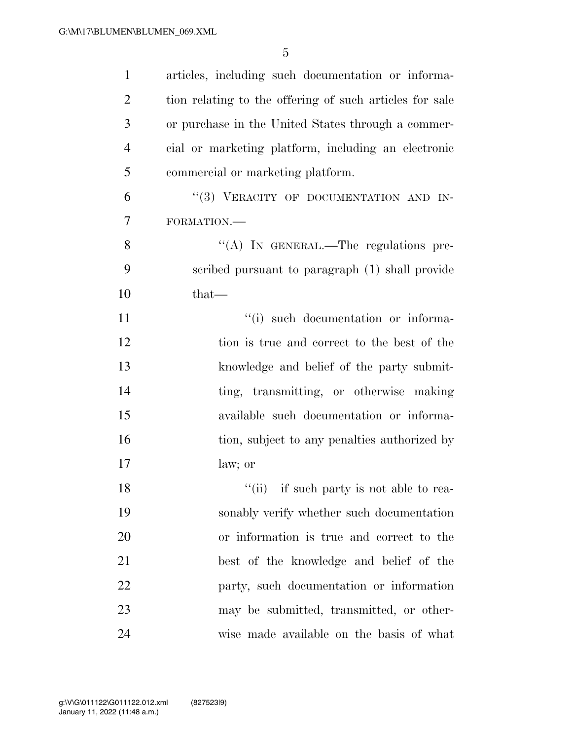| $\mathbf{1}$   | articles, including such documentation or informa-      |
|----------------|---------------------------------------------------------|
| $\overline{2}$ | tion relating to the offering of such articles for sale |
| 3              | or purchase in the United States through a commer-      |
| $\overline{4}$ | cial or marketing platform, including an electronic     |
| 5              | commercial or marketing platform.                       |
| 6              | "(3) VERACITY OF DOCUMENTATION AND IN-                  |
| $\overline{7}$ | FORMATION.-                                             |
| 8              | "(A) IN GENERAL.—The regulations pre-                   |
| 9              | scribed pursuant to paragraph (1) shall provide         |
| 10             | $that-$                                                 |
| 11             | "(i) such documentation or informa-                     |
| 12             | tion is true and correct to the best of the             |
| 13             | knowledge and belief of the party submit-               |
| 14             | ting, transmitting, or otherwise making                 |
| 15             | available such documentation or informa-                |
| 16             | tion, subject to any penalties authorized by            |
| 17             | law; or                                                 |
| 18             | "(ii) if such party is not able to rea-                 |
| 19             | sonably verify whether such documentation               |
| 20             | or information is true and correct to the               |
| 21             | best of the knowledge and belief of the                 |
| 22             | party, such documentation or information                |
| 23             | may be submitted, transmitted, or other-                |
| 24             | wise made available on the basis of what                |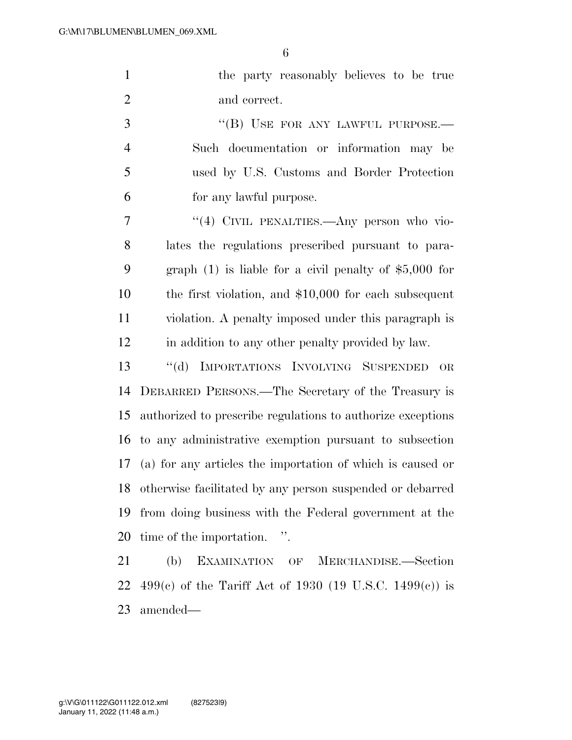|               | the party reasonably believes to be true |
|---------------|------------------------------------------|
|               | and correct.                             |
| $\mathcal{R}$ | "(B) USE FOR ANY LAWFUL PURPOSE.—        |
|               | Such documentation or information may be |

 used by U.S. Customs and Border Protection for any lawful purpose.

7 "(4) CIVIL PENALTIES.—Any person who vio- lates the regulations prescribed pursuant to para- graph (1) is liable for a civil penalty of \$5,000 for the first violation, and \$10,000 for each subsequent violation. A penalty imposed under this paragraph is in addition to any other penalty provided by law.

 ''(d) IMPORTATIONS INVOLVING SUSPENDED OR DEBARRED PERSONS.—The Secretary of the Treasury is authorized to prescribe regulations to authorize exceptions to any administrative exemption pursuant to subsection (a) for any articles the importation of which is caused or otherwise facilitated by any person suspended or debarred from doing business with the Federal government at the time of the importation. ''.

 (b) EXAMINATION OF MERCHANDISE.—Section 22 499(c) of the Tariff Act of 1930 (19 U.S.C. 1499(c)) is amended—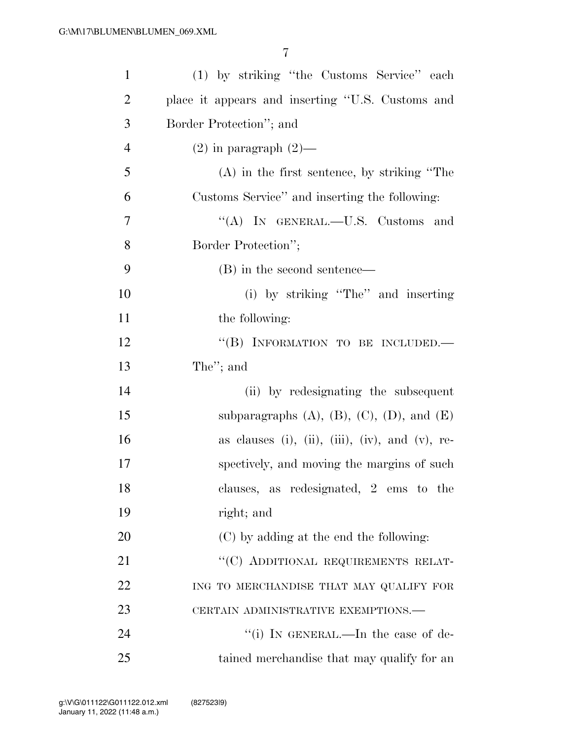| $\mathbf{1}$   | (1) by striking "the Customs Service" each              |
|----------------|---------------------------------------------------------|
| $\overline{2}$ | place it appears and inserting "U.S. Customs and        |
| 3              | Border Protection"; and                                 |
| $\overline{4}$ | $(2)$ in paragraph $(2)$ —                              |
| 5              | $(A)$ in the first sentence, by striking "The           |
| 6              | Customs Service" and inserting the following:           |
| 7              | "(A) IN GENERAL.—U.S. Customs and                       |
| 8              | Border Protection";                                     |
| 9              | (B) in the second sentence—                             |
| 10             | (i) by striking "The" and inserting                     |
| 11             | the following:                                          |
| 12             | "(B) INFORMATION TO BE INCLUDED.-                       |
| 13             | The"; and                                               |
| 14             | (ii) by redesignating the subsequent                    |
| 15             | subparagraphs $(A)$ , $(B)$ , $(C)$ , $(D)$ , and $(E)$ |
| 16             | as clauses (i), (ii), (iii), (iv), and (v), re-         |
| 17             | spectively, and moving the margins of such              |
| 18             | clauses, as redesignated, 2 ems to the                  |
| 19             | right; and                                              |
| 20             | (C) by adding at the end the following:                 |
| 21             | "(C) ADDITIONAL REQUIREMENTS RELAT-                     |
| 22             | ING TO MERCHANDISE THAT MAY QUALIFY FOR                 |
| 23             | CERTAIN ADMINISTRATIVE EXEMPTIONS.—                     |
| 24             | "(i) IN GENERAL.—In the case of de-                     |
| 25             | tained merchandise that may qualify for an              |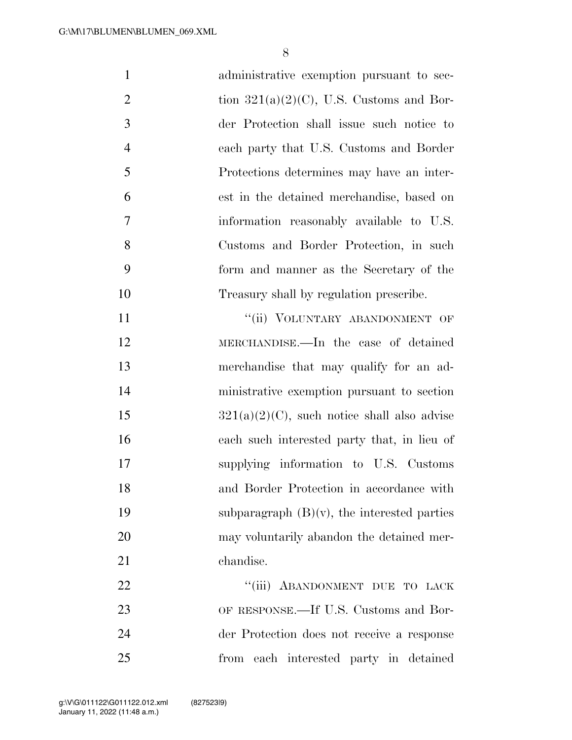| $\mathbf{1}$   | administrative exemption pursuant to sec-      |
|----------------|------------------------------------------------|
| $\overline{2}$ | tion $321(a)(2)(C)$ , U.S. Customs and Bor-    |
| 3              | der Protection shall issue such notice to      |
| $\overline{4}$ | each party that U.S. Customs and Border        |
| 5              | Protections determines may have an inter-      |
| 6              | est in the detained merchandise, based on      |
| 7              | information reasonably available to U.S.       |
| 8              | Customs and Border Protection, in such         |
| 9              | form and manner as the Secretary of the        |
| 10             | Treasury shall by regulation prescribe.        |
| 11             | "(ii) VOLUNTARY ABANDONMENT OF                 |
| 12             | MERCHANDISE.—In the case of detained           |
| 13             | merchandise that may qualify for an ad-        |
| 14             | ministrative exemption pursuant to section     |
| 15             | $321(a)(2)(C)$ , such notice shall also advise |
| 16             | each such interested party that, in lieu of    |
| 17             | supplying information to U.S. Customs          |
| 18             | and Border Protection in accordance with       |
| 19             | subparagraph $(B)(v)$ , the interested parties |
| 20             | may voluntarily abandon the detained mer-      |
| 21             | chandise.                                      |
| 22             | "(iii) ABANDONMENT DUE TO LACK                 |
| 23             | OF RESPONSE.—If U.S. Customs and Bor-          |
| 24             | der Protection does not receive a response     |
| 25             | from each interested party in detained         |